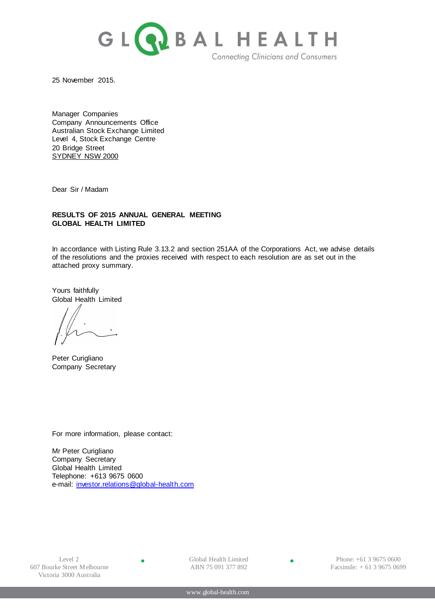

25 November 2015.

Manager Companies Company Announcements Office Australian Stock Exchange Limited Level 4, Stock Exchange Centre 20 Bridge Street SYDNEY NSW 2000

Dear Sir / Madam

# **RESULTS OF 2015 ANNUAL GENERAL MEETING GLOBAL HEALTH LIMITED**

In accordance with Listing Rule 3.13.2 and section 251AA of the Corporations Act, we advise details of the resolutions and the proxies received with respect to each resolution are as set out in the attached proxy summary.

Yours faithfully Global Health Limited

Peter Curigliano Company Secretary

For more information, please contact:

Mr Peter Curigliano Company Secretary Global Health Limited Telephone: +613 9675 0600 e-mail: [investor.relations@global-health.com](mailto:investor.relations@global-health.com)

 $\bullet$ 

Global Health Limited ABN 75 091 377 892